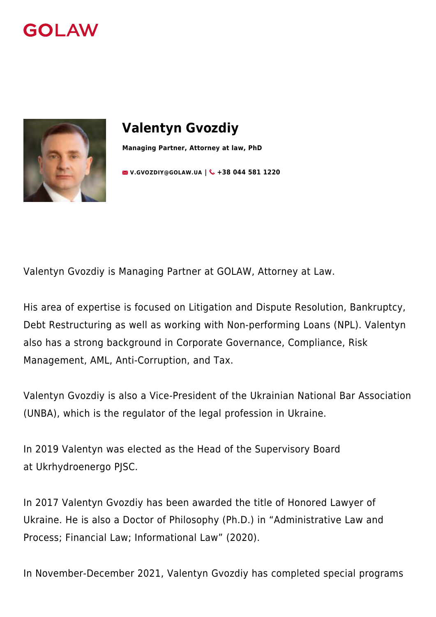



# **Valentyn Gvozdiy**

**Managing Partner, Attorney at law, PhD**

**[V.GVOZDIY@GOLAW.UA](mailto:info@golaw.ua) | +38 044 581 1220**

Valentyn Gvozdiy is Managing Partner at GOLAW, Attorney at Law.

His area of expertise is focused on Litigation and Dispute Resolution, Bankruptcy, Debt Restructuring as well as working with Non-performing Loans (NPL). Valentyn also has a strong background in Corporate Governance, Compliance, Risk Management, AML, [Anti-Corruption](https://golaw.ua/expertise/anti-corruption-and-anti-bribery/), and Tax.

Valentyn Gvozdiy is also a Vice-President of the Ukrainian National Bar Association ([UNBA\)](https://en.unba.org.ua/), which is the regulator of the legal profession in Ukraine.

In 2019 Valentyn was elected as the Head of the Supervisory Board at [Ukrhydroenergo PJSC](https://uhe.gov.ua/).

In 2017 Valentyn Gvozdiy has been awarded the title of Honored Lawyer of Ukraine. He is also a Doctor of Philosophy (Ph.D.) in "Administrative Law and Process; Financial Law; Informational Law" (2020).

In November-December 2021, Valentyn Gvozdiy has completed special programs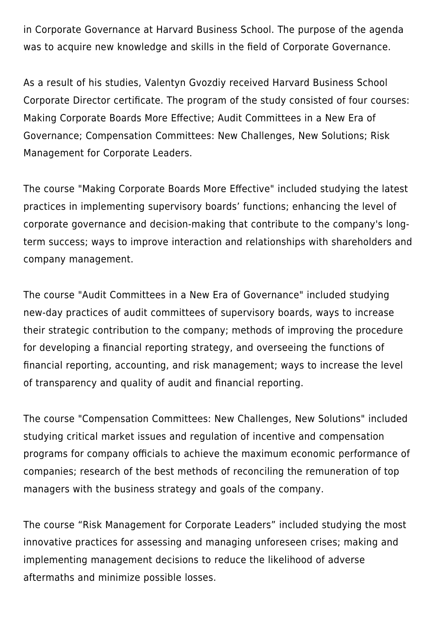in Corporate Governance at Harvard Business School. The purpose of the agenda was to acquire new knowledge and skills in the field of Corporate Governance.

As a result of his studies, Valentyn Gvozdiy received Harvard Business School Corporate Director certificate. The program of the study consisted of four courses: Making Corporate Boards More Effective; Audit Committees in a New Era of Governance; Compensation Committees: New Challenges, New Solutions; Risk Management for Corporate Leaders.

The course "Making Corporate Boards More Effective" included studying the latest practices in implementing supervisory boards' functions; enhancing the level of corporate governance and decision-making that contribute to the company's longterm success; ways to improve interaction and relationships with shareholders and company management.

The course "Audit Committees in a New Era of Governance" included studying new-day practices of audit committees of supervisory boards, ways to increase their strategic contribution to the company; methods of improving the procedure for developing a financial reporting strategy, and overseeing the functions of financial reporting, accounting, and risk management; ways to increase the level of transparency and quality of audit and financial reporting.

The course "Compensation Committees: New Challenges, New Solutions" included studying critical market issues and regulation of incentive and compensation programs for company officials to achieve the maximum economic performance of companies; research of the best methods of reconciling the remuneration of top managers with the business strategy and goals of the company.

The course "Risk Management for Corporate Leaders" included studying the most innovative practices for assessing and managing unforeseen crises; making and implementing management decisions to reduce the likelihood of adverse aftermaths and minimize possible losses.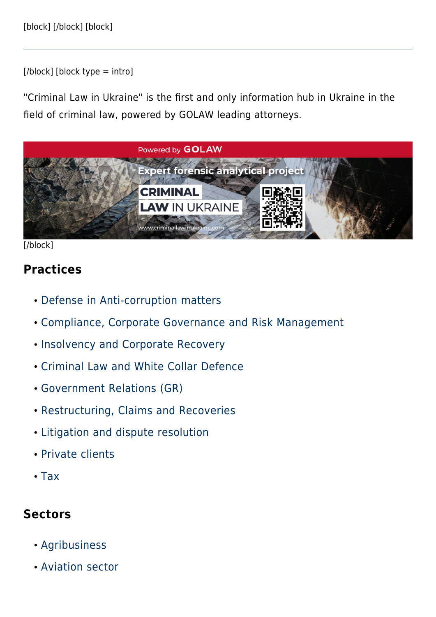$[*/*block]$  [block type = intro]

"Criminal Law in Ukraine" is the first and only information hub in Ukraine in the field of criminal law, powered by GOLAW leading attorneys.



#### [/block]

#### **Practices**

- [Defense in Anti-corruption matters](#page--1-0)
- [Compliance, Corporate Governance and Risk Management](#page--1-0)
- [Insolvency and Corporate Recovery](#page--1-0)
- [Criminal Law and White Collar Defence](#page--1-0)
- [Government Relations \(GR\)](#page--1-0)
- [Restructuring, Claims and Recoveries](#page--1-0)
- [Litigation and dispute resolution](#page--1-0)
- [Private clients](#page--1-0)
- [Tax](#page--1-0)

### **Sectors**

- [Agribusiness](#page--1-0)
- [Aviation sector](#page--1-0)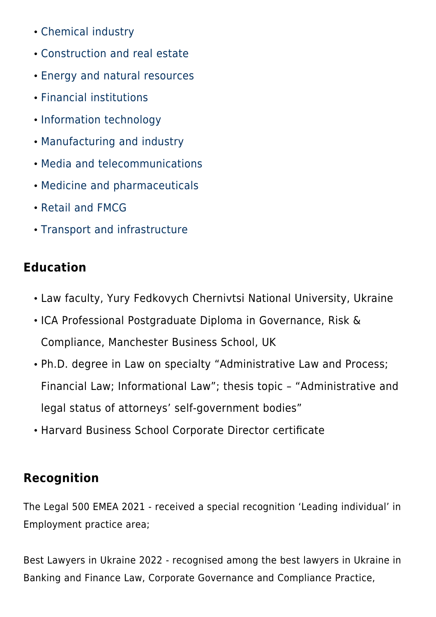- [Chemical industry](#page--1-0)
- [Construction and real estate](#page--1-0)
- [Energy and natural resources](#page--1-0)
- [Financial institutions](#page--1-0)
- [Information technology](#page--1-0)
- [Manufacturing and industry](#page--1-0)
- [Media and telecommunications](#page--1-0)
- [Medicine and pharmaceuticals](#page--1-0)
- [Retail and FMCG](#page--1-0)
- [Transport and infrastructure](#page--1-0)

## **Education**

- Law faculty, Yury Fedkovych Chernivtsi National University, Ukraine
- ICA Professional Postgraduate Diploma in Governance, Risk & Compliance, Manchester Business School, UK
- Ph.D. degree in Law on specialty "Administrative Law and Process; Financial Law; Informational Law"; thesis topic – "Administrative and legal status of attorneys' self-government bodies"
- Harvard Business School Corporate Director certificate

## **Recognition**

The Legal 500 EMEA 2021 - received a special recognition 'Leading individual' in Employment practice area;

Best Lawyers in Ukraine 2022 - recognised among the best lawyers in Ukraine in Banking and Finance Law, Corporate Governance and Compliance Practice,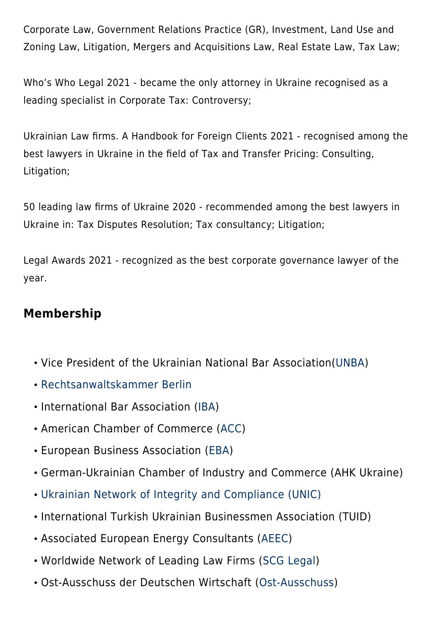Corporate Law, Government Relations Practice (GR), Investment, Land Use and Zoning Law, Litigation, Mergers and Acquisitions Law, Real Estate Law, Tax Law;

Who's Who Legal 2021 - became the only attorney in Ukraine recognised as a leading specialist in Corporate Tax: Controversy;

Ukrainian Law firms. A Handbook for Foreign Clients 2021 - recognised among the best lawyers in Ukraine in the field of Tax and Transfer Pricing: Consulting, Litigation;

50 leading law firms of Ukraine 2020 - recommended among the best lawyers in Ukraine in: Tax Disputes Resolution; Tax consultancy; Litigation;

Legal Awards 2021 - recognized as the best corporate governance lawyer of the year.

## **Membership**

- Vice President of the Ukrainian National Bar Association[\(UNBA](https://en.unba.org.ua/))
- [Rechtsanwaltskammer Berlin](https://www.rak-berlin.de/)
- International Bar Association ([IBA](https://www.ibanet.org/))
- American Chamber of Commerce ([ACC](http://www.chamber.ua/en))
- European Business Association [\(EBA](https://eba.com.ua/en/))
- German-Ukrainian Chamber of Industry and Commerce (AHK Ukraine)
- [Ukrainian Network of Integrity and Compliance \(UNIC\)](https://baselgovernance.org/b20-collective-action-hub/initiatives-database/ukrainian-network-integrity-and-compliance-unic)
- International Turkish Ukrainian Businessmen Association (TUID)
- Associated European Energy Consultants ([AEEC\)](https://www.aeec-online.com/)
- Worldwide Network of Leading Law Firms ([SCG Legal](https://scglegal.com/about/))
- Ost-Ausschuss der Deutschen Wirtschaft ([Ost-Ausschuss](https://www.ost-ausschuss.de/uber-uns))